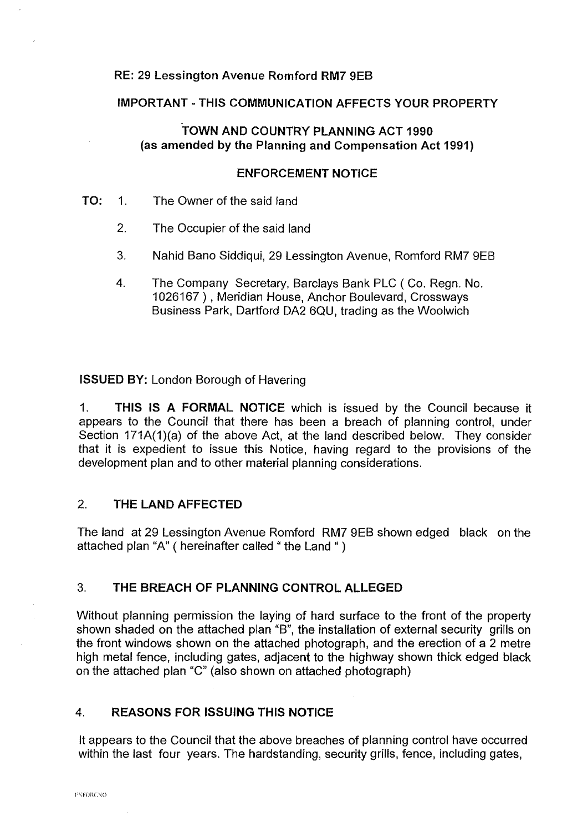#### **RE: 29 Lessington Avenue Romford RM7** 9EB

### **IMPORTANT-THIS COMMUNICATION AFFECTS YOUR PROPERTY**

## **TOWN AND COUNTRY PLANNING ACT 1990 (as amended by the Planning and Compensation Act 1991)**

#### **ENFORCEMENT NOTICE**

- **TO:** 1. The Owner of the said land
	- 2. The Occupier of the said land
	- 3. Nahid Bano Siddiqui, 29 Lessington Avenue, Romford RM7 9EB
	- 4. The Company Secretary, Barclays Bank PLC ( Co. Regn. No. 1026167), Meridian House, Anchor Boulevard, Crossways Business Park, Dartford DA2 6QU, trading as the Woolwich

**ISSUED BY:** London Borough of Havering

1. **THIS IS A FORMAL NOTICE** which is issued by the Council because it appears to the Council that there has been a breach of planning control, under Section 171A(1)(a) of the above Act, at the land described below. They consider that it is expedient to issue this Notice, having regard to the provisions of the development plan and to other material planning considerations.

## 2. **THE LAND AFFECTED**

The land at 29 Lessington Avenue Romford RM7 9EB shown edged black on the attached plan "A" ( hereinafter called " the Land " )

## 3. **THE BREACH OF PLANNING CONTROL ALLEGED**

Without planning permission the laying of hard surface to the front of the property shown shaded on the attached plan "B", the installation of external security grills on the front windows shown on the attached photograph, and the erection of a 2 metre high metal fence, including gates, adjacent to the highway shown thick edged black on the attached plan "C" (also shown on attached photograph)

# 4. **REASONS FOR ISSUING THIS NOTICE**

It appears to the Council that the above breaches of planning control have occurred within the last four years. The hardstanding, security grills, fence, including gates,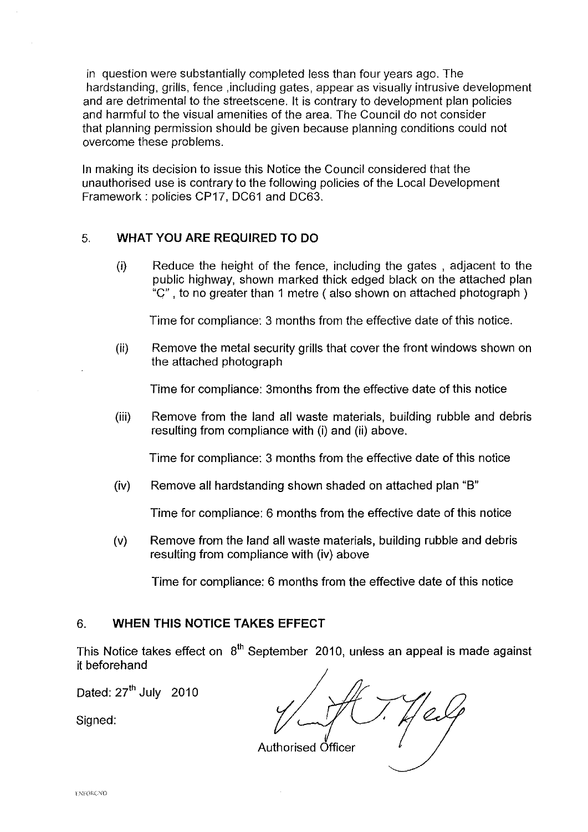in question were substantially completed less than four years ago. The hardstanding, grills, fence ,including gates, appear as visually intrusive development and are detrimental to the streetscene. It is contrary to development plan policies and harmful to the visual amenities of the area. The Council do not consider that planning permission should be given because planning conditions could not overcome these problems.

In making its decision to issue this Notice the Council considered that the unauthorised use is contrary to the following policies of the Local Development Framework: policies CP17, DC61 and DC63.

# 5. **WHAT YOU ARE REQUIRED TO DO**

(i) Reduce the height of the fence, including the gates , adjacent to the public highway, shown marked thick edged black on the attached plan "C" , to no greater than 1 metre ( also shown on attached photograph )

Time for compliance: 3 months from the effective date of this notice.

(ii) Remove the metal security grills that cover the front windows shown on the attached photograph

Time for compliance: 3months from the effective date of this notice

(iii) Remove from the land all waste materials, building rubble and debris resulting from compliance with (i) and (ii) above.

Time for compliance: 3 months from the effective date of this notice

(iv) Remove all hardstanding shown shaded on attached plan "B"

Time for compliance: 6 months from the effective date of this notice

(v) Remove from the land all waste materials, building rubble and debris resulting from compliance with (iv) above

Time for compliance: 6 months from the effective date of this notice

# 6. **WHEN THIS NOTICE TAKES EFFECT**

This Notice takes effect on  $8<sup>th</sup>$  September 2010, unless an appeal is made against it beforehand

Dated: 27<sup>th</sup> July 2010

Signed:

 $\frac{1}{\sqrt{2}}$ 

Authorised Officer *7* -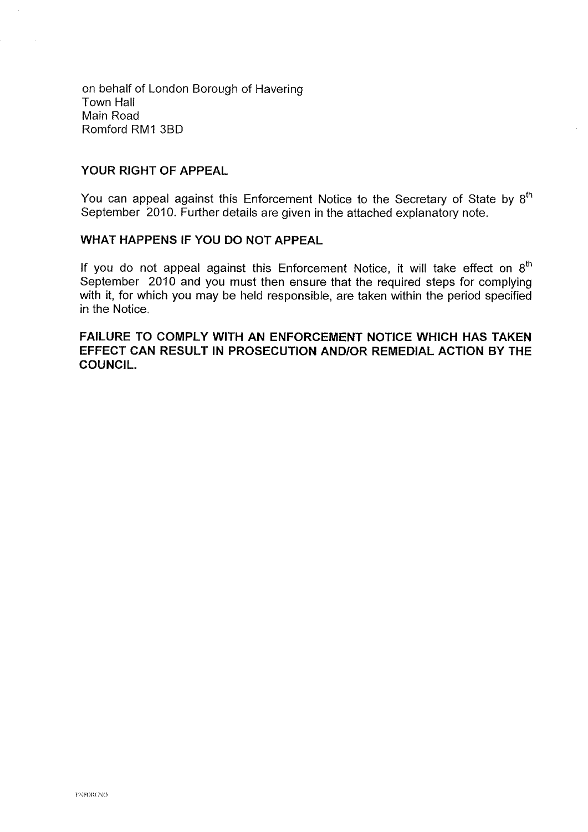on behalf of London Borough of Havering Town Hall Main Road Romford RM1 3B0

#### **YOUR RIGHT OF APPEAL**

You can appeal against this Enforcement Notice to the Secretary of State by  $8<sup>th</sup>$ September 2010. Further details are given in the attached explanatory note.

## **WHAT HAPPENS IF YOU DO NOT APPEAL**

If you do not appeal against this Enforcement Notice, it will take effect on  $8<sup>th</sup>$ September 2010 and you must then ensure that the required steps for complying with it, for which you may be held responsible, are taken within the period specified in the Notice.

## **FAILURE TO COMPLY WITH AN ENFORCEMENT NOTICE WHICH HAS TAKEN EFFECT CAN RESULT IN PROSECUTION AND/OR REMEDIAL ACTION BY THE COUNCIL.**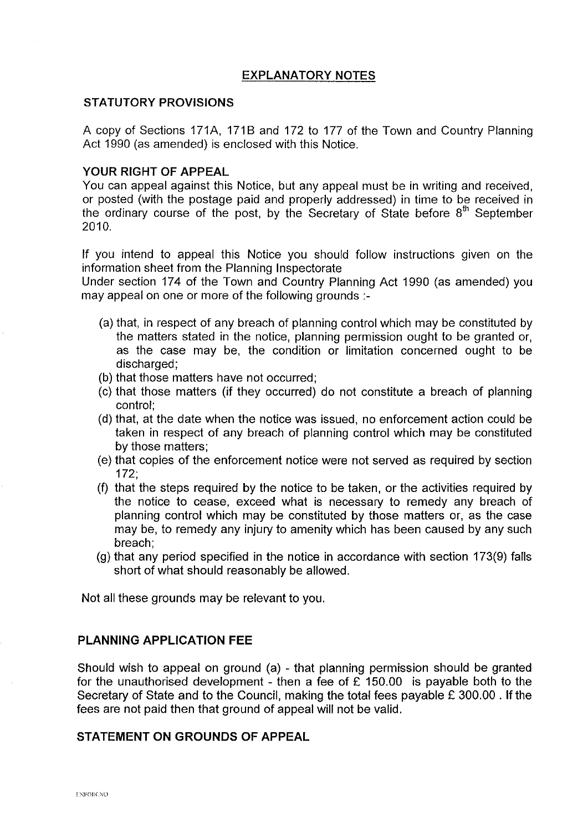## **EXPLANATORY NOTES**

#### **STATUTORY PROVISIONS**

A copy of Sections 171A, 171B and 172 to 177 of the Town and Country Planning Act 1990 (as amended) is enclosed with this Notice.

#### **YOUR RIGHT OF APPEAL**

You can appeal against this Notice, but any appeal must be in writing and received, or posted (with the postage paid and properly addressed) in time to be received in the ordinary course of the post, by the Secretary of State before  $8<sup>th</sup>$  September 2010.

If you intend to appeal this Notice you should follow instructions given on the information sheet from the Planning Inspectorate

Under section 174 of the Town and Country Planning Act 1990 (as amended) you may appeal on one or more of the following grounds :-

- (a) that, in respect of any breach of planning control which may be constituted by the matters stated in the notice, planning permission ought to be granted or, as the case may be, the condition or limitation concerned ought to be discharged;
- (b) that those matters have not occurred;
- (c) that those matters (if they occurred) do not constitute a breach of planning control;
- (d) that, at the date when the notice was issued, no enforcement action could be taken in respect of any breach of planning control which may be constituted by those matters;
- (e) that copies of the enforcement notice were not served as required by section 172;
- (f) that the steps required by the notice to be taken, or the activities required by the notice to cease, exceed what is necessary to remedy any breach of planning control which may be constituted by those matters or, as the case may be, to remedy any injury to amenity which has been caused by any such breach;
- (g) that any period specified in the notice in accordance with section 173(9) falls short of what should reasonably be allowed.

Not all these grounds may be relevant to you.

#### **PLANNING APPLICATION FEE**

Should wish to appeal on ground (a) - that planning permission should be granted for the unauthorised development - then a fee of  $\hat{E}$  150.00 is payable both to the Secretary of State and to the Council, making the total fees payable £ 300.00 . If the fees are not paid then that ground of appeal will not be valid.

#### **STATEMENT ON GROUNDS OF APPEAL**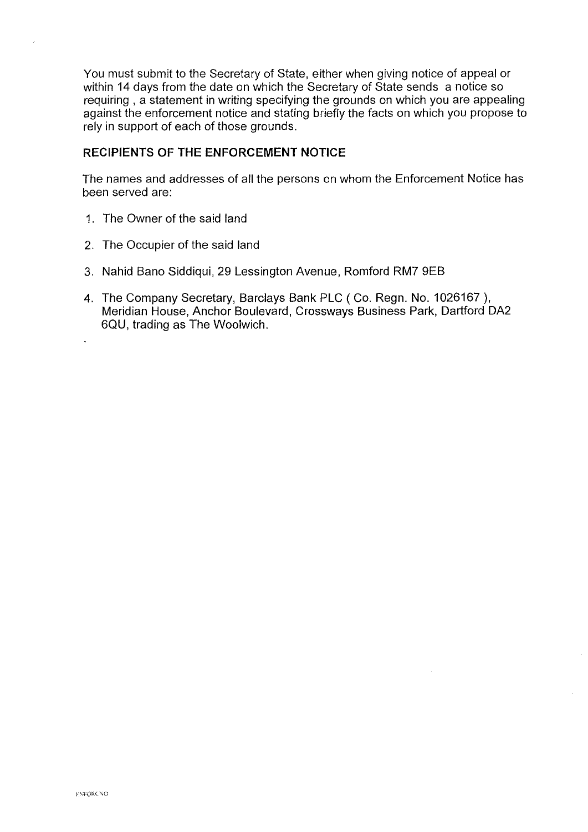You must submit to the Secretary of State, either when giving notice of appeal or within 14 days from the date on which the Secretary of State sends a notice so requiring , a statement in writing specifying the grounds on which you are appealing against the enforcement notice and stating briefly the facts on which you propose to rely in support of each of those grounds.

### **RECIPIENTS OF THE ENFORCEMENT NOTICE**

The names and addresses of all the persons on whom the Enforcement Notice has been served are:

- 1. The Owner of the said land
- 2. The Occupier of the said land
- 3. Nahid Bano Siddiqui, 29 Lessington Avenue, Romford RM? 9EB
- 4. The Company Secretary, Barclays Bank PLC (Co.Regn. No. 1026167 ), Meridian House, Anchor Boulevard, Crossways Business Park, Dartford DA2 6QU, trading as The Woolwich.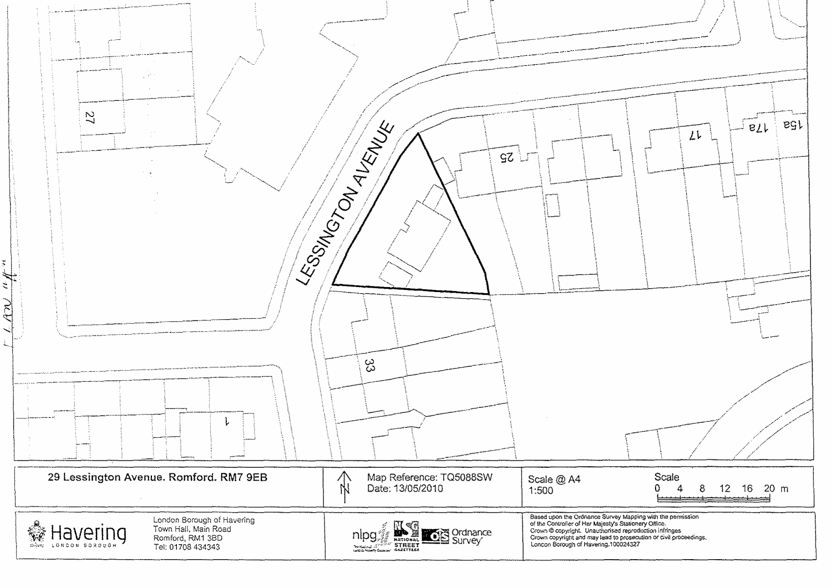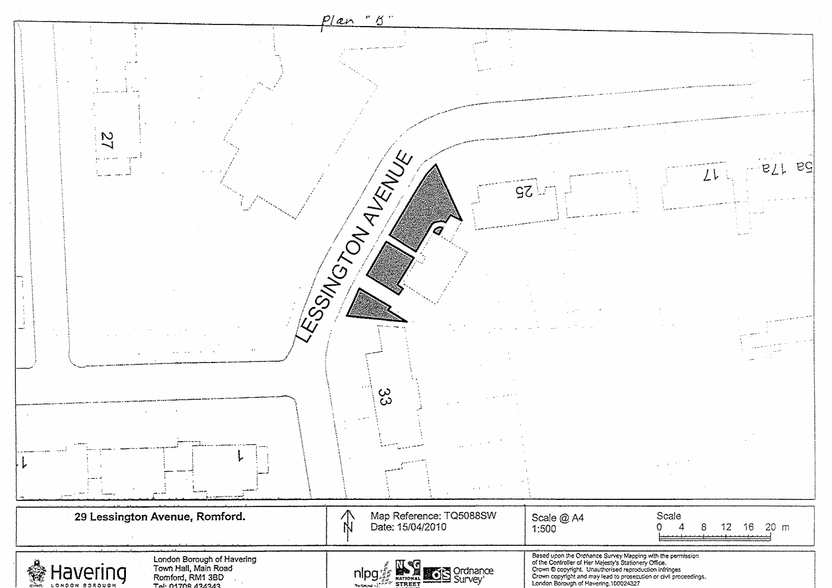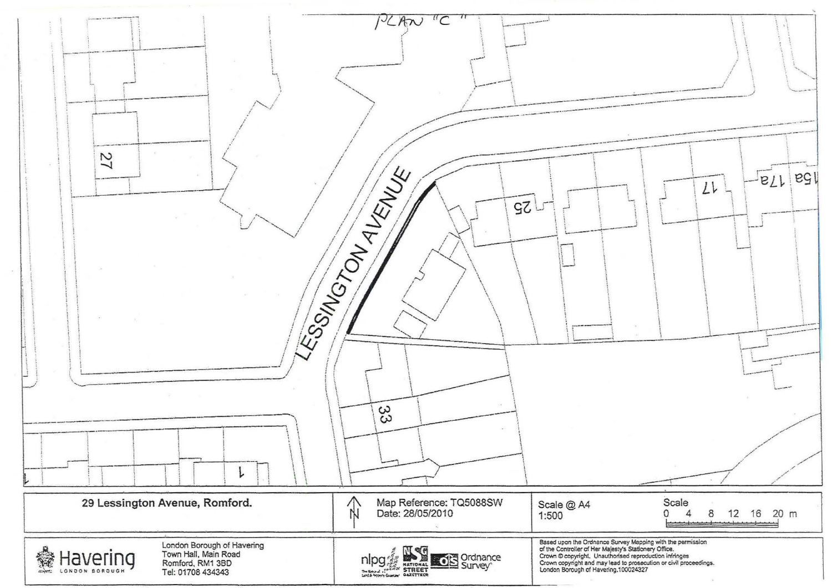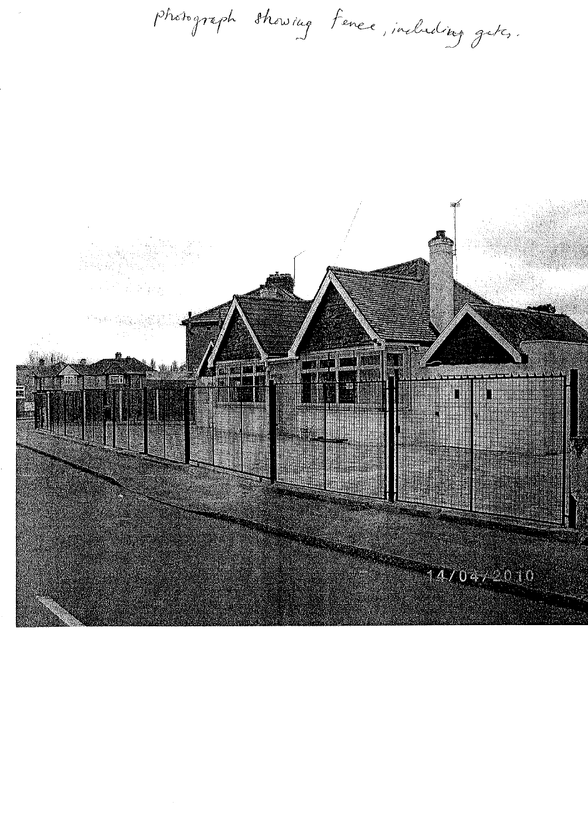